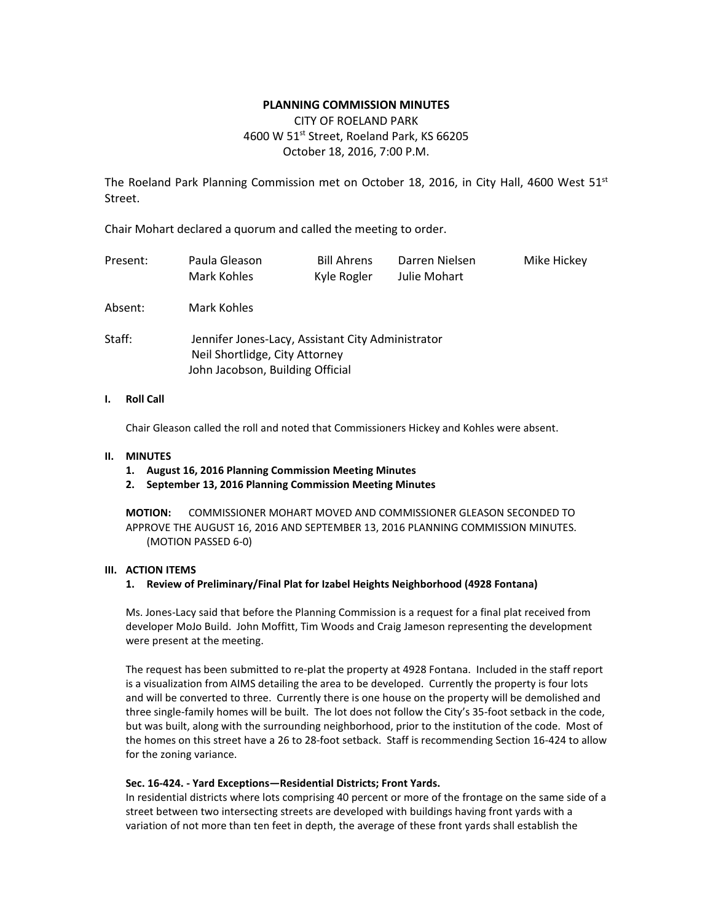### **PLANNING COMMISSION MINUTES**

# CITY OF ROELAND PARK 4600 W 51<sup>st</sup> Street, Roeland Park, KS 66205 October 18, 2016, 7:00 P.M.

The Roeland Park Planning Commission met on October 18, 2016, in City Hall, 4600 West  $51^{st}$ Street.

Chair Mohart declared a quorum and called the meeting to order.

| Present: | Paula Gleason<br>Mark Kohles                                                                                            | <b>Bill Ahrens</b><br>Kyle Rogler | Darren Nielsen<br>Julie Mohart | Mike Hickey |  |  |
|----------|-------------------------------------------------------------------------------------------------------------------------|-----------------------------------|--------------------------------|-------------|--|--|
| Absent:  | Mark Kohles                                                                                                             |                                   |                                |             |  |  |
| Staff:   | Jennifer Jones-Lacy, Assistant City Administrator<br>Neil Shortlidge, City Attorney<br>John Jacobson, Building Official |                                   |                                |             |  |  |

### **I. Roll Call**

Chair Gleason called the roll and noted that Commissioners Hickey and Kohles were absent.

#### **II. MINUTES**

- **1. August 16, 2016 Planning Commission Meeting Minutes**
- **2. September 13, 2016 Planning Commission Meeting Minutes**

**MOTION:** COMMISSIONER MOHART MOVED AND COMMISSIONER GLEASON SECONDED TO APPROVE THE AUGUST 16, 2016 AND SEPTEMBER 13, 2016 PLANNING COMMISSION MINUTES. (MOTION PASSED 6-0)

### **III. ACTION ITEMS**

#### **1. Review of Preliminary/Final Plat for Izabel Heights Neighborhood (4928 Fontana)**

Ms. Jones-Lacy said that before the Planning Commission is a request for a final plat received from developer MoJo Build. John Moffitt, Tim Woods and Craig Jameson representing the development were present at the meeting.

The request has been submitted to re-plat the property at 4928 Fontana. Included in the staff report is a visualization from AIMS detailing the area to be developed. Currently the property is four lots and will be converted to three. Currently there is one house on the property will be demolished and three single-family homes will be built. The lot does not follow the City's 35-foot setback in the code, but was built, along with the surrounding neighborhood, prior to the institution of the code. Most of the homes on this street have a 26 to 28-foot setback. Staff is recommending Section 16-424 to allow for the zoning variance.

### **Sec. 16-424. - Yard Exceptions—Residential Districts; Front Yards.**

In residential districts where lots comprising 40 percent or more of the frontage on the same side of a street between two intersecting streets are developed with buildings having front yards with a variation of not more than ten feet in depth, the average of these front yards shall establish the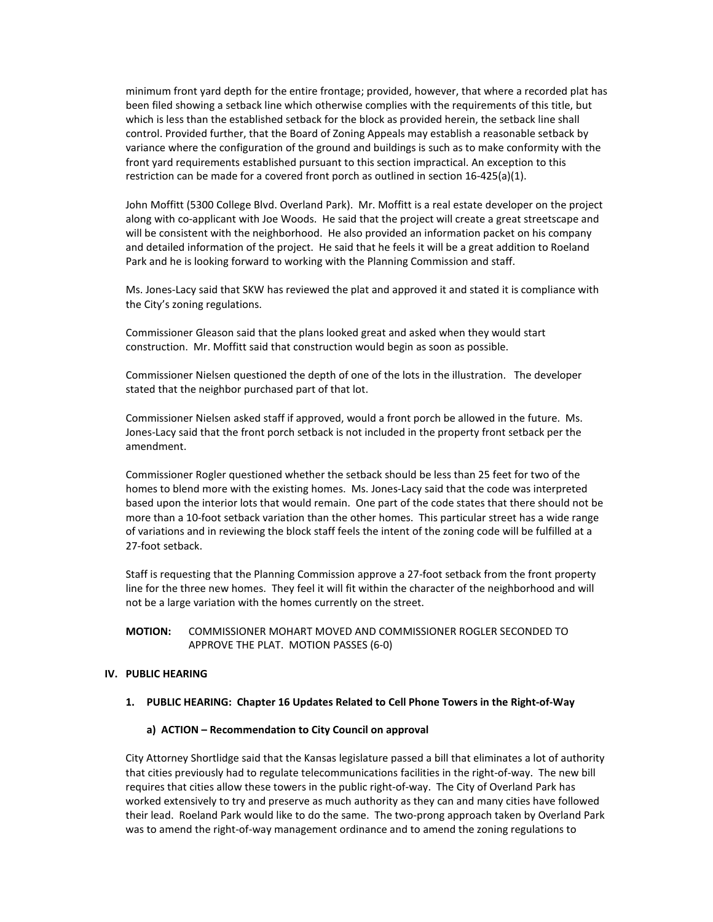minimum front yard depth for the entire frontage; provided, however, that where a recorded plat has been filed showing a setback line which otherwise complies with the requirements of this title, but which is less than the established setback for the block as provided herein, the setback line shall control. Provided further, that the Board of Zoning Appeals may establish a reasonable setback by variance where the configuration of the ground and buildings is such as to make conformity with the front yard requirements established pursuant to this section impractical. An exception to this restriction can be made for a covered front porch as outlined in section 16-425(a)(1).

John Moffitt (5300 College Blvd. Overland Park). Mr. Moffitt is a real estate developer on the project along with co-applicant with Joe Woods. He said that the project will create a great streetscape and will be consistent with the neighborhood. He also provided an information packet on his company and detailed information of the project. He said that he feels it will be a great addition to Roeland Park and he is looking forward to working with the Planning Commission and staff.

Ms. Jones-Lacy said that SKW has reviewed the plat and approved it and stated it is compliance with the City's zoning regulations.

Commissioner Gleason said that the plans looked great and asked when they would start construction. Mr. Moffitt said that construction would begin as soon as possible.

Commissioner Nielsen questioned the depth of one of the lots in the illustration. The developer stated that the neighbor purchased part of that lot.

Commissioner Nielsen asked staff if approved, would a front porch be allowed in the future. Ms. Jones-Lacy said that the front porch setback is not included in the property front setback per the amendment.

Commissioner Rogler questioned whether the setback should be less than 25 feet for two of the homes to blend more with the existing homes. Ms. Jones-Lacy said that the code was interpreted based upon the interior lots that would remain. One part of the code states that there should not be more than a 10-foot setback variation than the other homes. This particular street has a wide range of variations and in reviewing the block staff feels the intent of the zoning code will be fulfilled at a 27-foot setback.

Staff is requesting that the Planning Commission approve a 27-foot setback from the front property line for the three new homes. They feel it will fit within the character of the neighborhood and will not be a large variation with the homes currently on the street.

### **MOTION:** COMMISSIONER MOHART MOVED AND COMMISSIONER ROGLER SECONDED TO APPROVE THE PLAT. MOTION PASSES (6-0)

#### **IV. PUBLIC HEARING**

### **1. PUBLIC HEARING: Chapter 16 Updates Related to Cell Phone Towers in the Right-of-Way**

#### **a) ACTION – Recommendation to City Council on approval**

City Attorney Shortlidge said that the Kansas legislature passed a bill that eliminates a lot of authority that cities previously had to regulate telecommunications facilities in the right-of-way. The new bill requires that cities allow these towers in the public right-of-way. The City of Overland Park has worked extensively to try and preserve as much authority as they can and many cities have followed their lead. Roeland Park would like to do the same. The two-prong approach taken by Overland Park was to amend the right-of-way management ordinance and to amend the zoning regulations to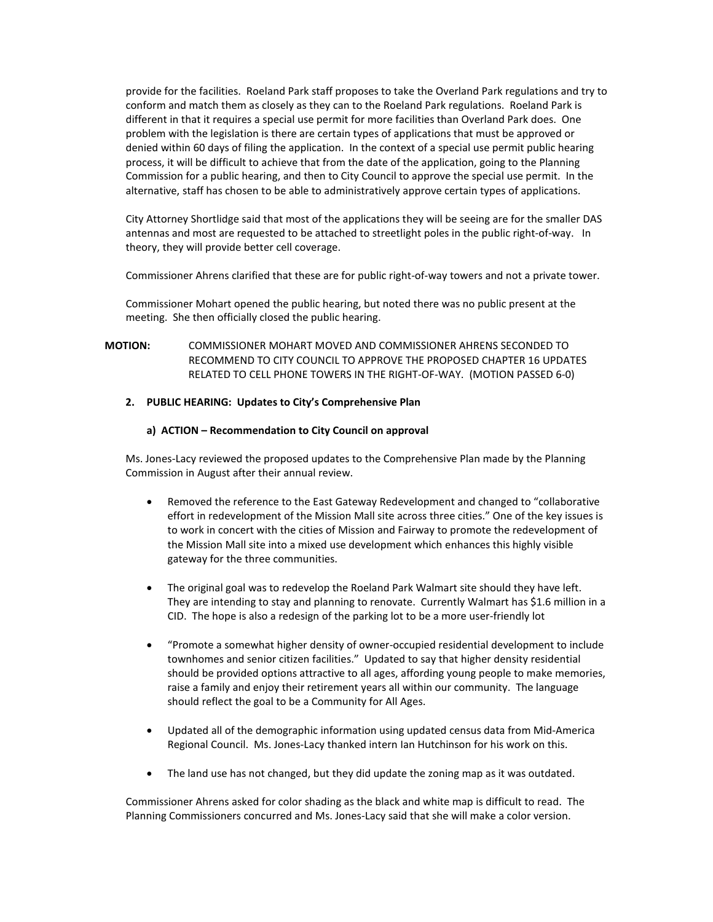provide for the facilities. Roeland Park staff proposes to take the Overland Park regulations and try to conform and match them as closely as they can to the Roeland Park regulations. Roeland Park is different in that it requires a special use permit for more facilities than Overland Park does. One problem with the legislation is there are certain types of applications that must be approved or denied within 60 days of filing the application. In the context of a special use permit public hearing process, it will be difficult to achieve that from the date of the application, going to the Planning Commission for a public hearing, and then to City Council to approve the special use permit. In the alternative, staff has chosen to be able to administratively approve certain types of applications.

City Attorney Shortlidge said that most of the applications they will be seeing are for the smaller DAS antennas and most are requested to be attached to streetlight poles in the public right-of-way. In theory, they will provide better cell coverage.

Commissioner Ahrens clarified that these are for public right-of-way towers and not a private tower.

Commissioner Mohart opened the public hearing, but noted there was no public present at the meeting. She then officially closed the public hearing.

## **MOTION:** COMMISSIONER MOHART MOVED AND COMMISSIONER AHRENS SECONDED TO RECOMMEND TO CITY COUNCIL TO APPROVE THE PROPOSED CHAPTER 16 UPDATES RELATED TO CELL PHONE TOWERS IN THE RIGHT-OF-WAY. (MOTION PASSED 6-0)

### **2. PUBLIC HEARING: Updates to City's Comprehensive Plan**

### **a) ACTION – Recommendation to City Council on approval**

Ms. Jones-Lacy reviewed the proposed updates to the Comprehensive Plan made by the Planning Commission in August after their annual review.

- Removed the reference to the East Gateway Redevelopment and changed to "collaborative effort in redevelopment of the Mission Mall site across three cities." One of the key issues is to work in concert with the cities of Mission and Fairway to promote the redevelopment of the Mission Mall site into a mixed use development which enhances this highly visible gateway for the three communities.
- The original goal was to redevelop the Roeland Park Walmart site should they have left. They are intending to stay and planning to renovate. Currently Walmart has \$1.6 million in a CID. The hope is also a redesign of the parking lot to be a more user-friendly lot
- "Promote a somewhat higher density of owner-occupied residential development to include townhomes and senior citizen facilities." Updated to say that higher density residential should be provided options attractive to all ages, affording young people to make memories, raise a family and enjoy their retirement years all within our community. The language should reflect the goal to be a Community for All Ages.
- Updated all of the demographic information using updated census data from Mid-America Regional Council. Ms. Jones-Lacy thanked intern Ian Hutchinson for his work on this.
- The land use has not changed, but they did update the zoning map as it was outdated.

Commissioner Ahrens asked for color shading as the black and white map is difficult to read. The Planning Commissioners concurred and Ms. Jones-Lacy said that she will make a color version.